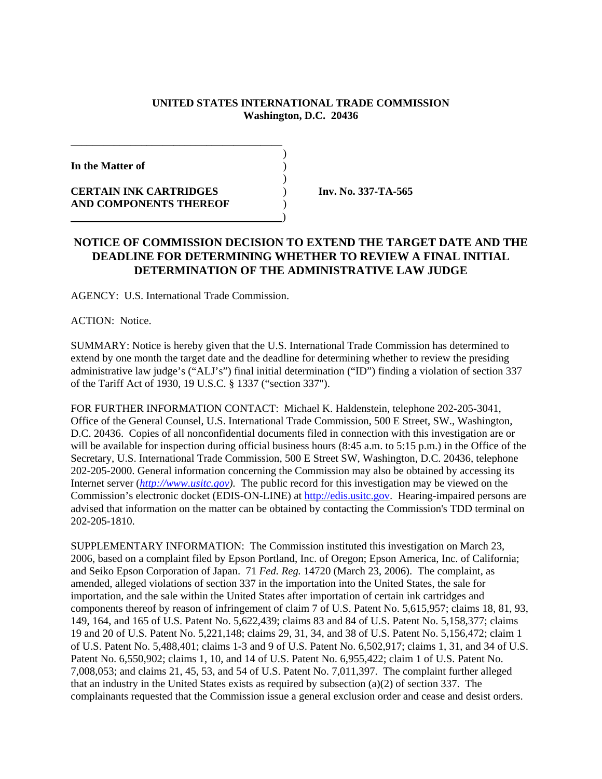## **UNITED STATES INTERNATIONAL TRADE COMMISSION Washington, D.C. 20436**

)

)

**In the Matter of** )

**CERTAIN INK CARTRIDGES** ) **Inv. No. 337-TA-565 AND COMPONENTS THEREOF** ) )

## **NOTICE OF COMMISSION DECISION TO EXTEND THE TARGET DATE AND THE DEADLINE FOR DETERMINING WHETHER TO REVIEW A FINAL INITIAL DETERMINATION OF THE ADMINISTRATIVE LAW JUDGE**

AGENCY: U.S. International Trade Commission.

\_\_\_\_\_\_\_\_\_\_\_\_\_\_\_\_\_\_\_\_\_\_\_\_\_\_\_\_\_\_\_\_\_\_\_\_\_\_\_

ACTION: Notice.

SUMMARY: Notice is hereby given that the U.S. International Trade Commission has determined to extend by one month the target date and the deadline for determining whether to review the presiding administrative law judge's ("ALJ's") final initial determination ("ID") finding a violation of section 337 of the Tariff Act of 1930, 19 U.S.C. § 1337 ("section 337").

FOR FURTHER INFORMATION CONTACT: Michael K. Haldenstein, telephone 202-205-3041, Office of the General Counsel, U.S. International Trade Commission, 500 E Street, SW., Washington, D.C. 20436. Copies of all nonconfidential documents filed in connection with this investigation are or will be available for inspection during official business hours (8:45 a.m. to 5:15 p.m.) in the Office of the Secretary, U.S. International Trade Commission, 500 E Street SW, Washington, D.C. 20436, telephone 202-205-2000. General information concerning the Commission may also be obtained by accessing its Internet server (*http://www.usitc.gov).* The public record for this investigation may be viewed on the Commission's electronic docket (EDIS-ON-LINE) at http://edis.usitc.gov. Hearing-impaired persons are advised that information on the matter can be obtained by contacting the Commission's TDD terminal on 202-205-1810.

SUPPLEMENTARY INFORMATION: The Commission instituted this investigation on March 23, 2006, based on a complaint filed by Epson Portland, Inc. of Oregon; Epson America, Inc. of California; and Seiko Epson Corporation of Japan. 71 *Fed. Reg.* 14720 (March 23, 2006). The complaint, as amended, alleged violations of section 337 in the importation into the United States, the sale for importation, and the sale within the United States after importation of certain ink cartridges and components thereof by reason of infringement of claim 7 of U.S. Patent No. 5,615,957; claims 18, 81, 93, 149, 164, and 165 of U.S. Patent No. 5,622,439; claims 83 and 84 of U.S. Patent No. 5,158,377; claims 19 and 20 of U.S. Patent No. 5,221,148; claims 29, 31, 34, and 38 of U.S. Patent No. 5,156,472; claim 1 of U.S. Patent No. 5,488,401; claims 1-3 and 9 of U.S. Patent No. 6,502,917; claims 1, 31, and 34 of U.S. Patent No. 6,550,902; claims 1, 10, and 14 of U.S. Patent No. 6,955,422; claim 1 of U.S. Patent No. 7,008,053; and claims 21, 45, 53, and 54 of U.S. Patent No. 7,011,397. The complaint further alleged that an industry in the United States exists as required by subsection  $(a)(2)$  of section 337. The complainants requested that the Commission issue a general exclusion order and cease and desist orders.